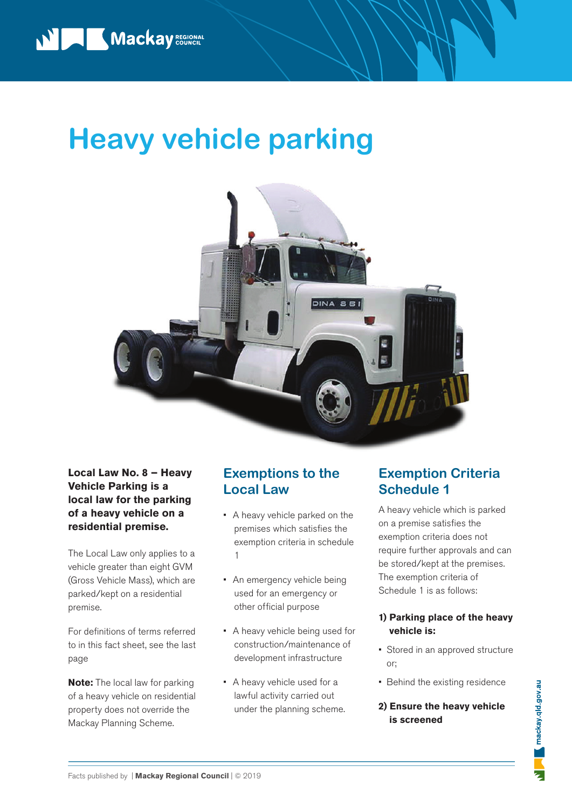# **Heavy vehicle parking**



**Local Law No. 8 – Heavy Vehicle Parking is a local law for the parking of a heavy vehicle on a residential premise.** 

The Local Law only applies to a vehicle greater than eight GVM (Gross Vehicle Mass), which are parked/kept on a residential premise.

For definitions of terms referred to in this fact sheet, see the last page

**Note:** The local law for parking of a heavy vehicle on residential property does not override the Mackay Planning Scheme.

### **Exemptions to the Local Law**

- A heavy vehicle parked on the premises which satisfies the exemption criteria in schedule 1
- An emergency vehicle being used for an emergency or other official purpose
- A heavy vehicle being used for construction/maintenance of development infrastructure
- A heavy vehicle used for a lawful activity carried out under the planning scheme.

### **Exemption Criteria Schedule 1**

A heavy vehicle which is parked on a premise satisfies the exemption criteria does not require further approvals and can be stored/kept at the premises. The exemption criteria of Schedule 1 is as follows:

### **1) Parking place of the heavy vehicle is:**

- Stored in an approved structure or;
- Behind the existing residence

### **2) Ensure the heavy vehicle is screened**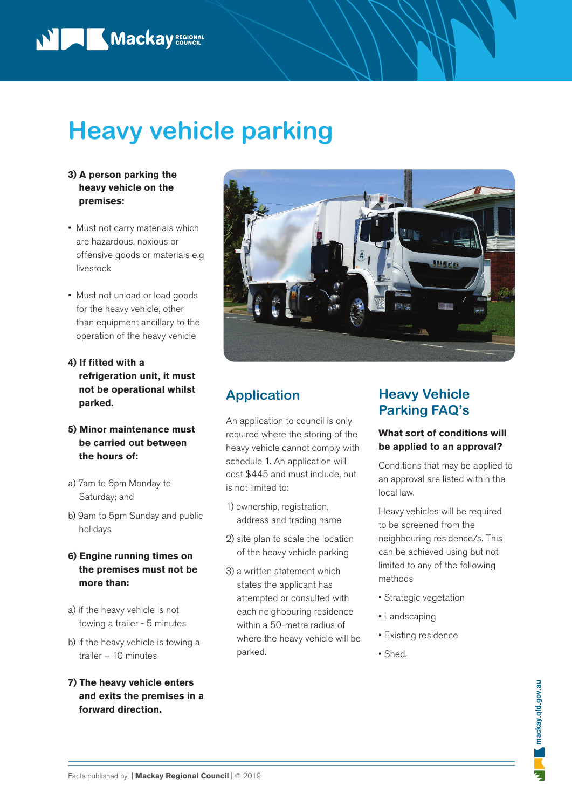

## **Heavy vehicle parking**

- **3) A person parking the heavy vehicle on the premises:**
- Must not carry materials which are hazardous, noxious or offensive goods or materials e.g livestock
- Must not unload or load goods for the heavy vehicle, other than equipment ancillary to the operation of the heavy vehicle
- **4) If fitted with a refrigeration unit, it must not be operational whilst parked.**
- **5) Minor maintenance must be carried out between the hours of:**
- a) 7am to 6pm Monday to Saturday; and
- b) 9am to 5pm Sunday and public holidays
- **6) Engine running times on the premises must not be more than:**
- a) if the heavy vehicle is not towing a trailer - 5 minutes
- b) if the heavy vehicle is towing a trailer – 10 minutes
- **7) The heavy vehicle enters and exits the premises in a forward direction.**



## **Application**

An application to council is only required where the storing of the heavy vehicle cannot comply with schedule 1. An application will cost \$445 and must include, but is not limited to:

- 1) ownership, registration, address and trading name
- 2) site plan to scale the location of the heavy vehicle parking
- 3) a written statement which states the applicant has attempted or consulted with each neighbouring residence within a 50-metre radius of where the heavy vehicle will be parked.

## **Heavy Vehicle Parking FAQ's**

### **What sort of conditions will be applied to an approval?**

Conditions that may be applied to an approval are listed within the local law.

Heavy vehicles will be required to be screened from the neighbouring residence/s. This can be achieved using but not limited to any of the following methods

- Strategic vegetation
- Landscaping
- Existing residence
- Shed.